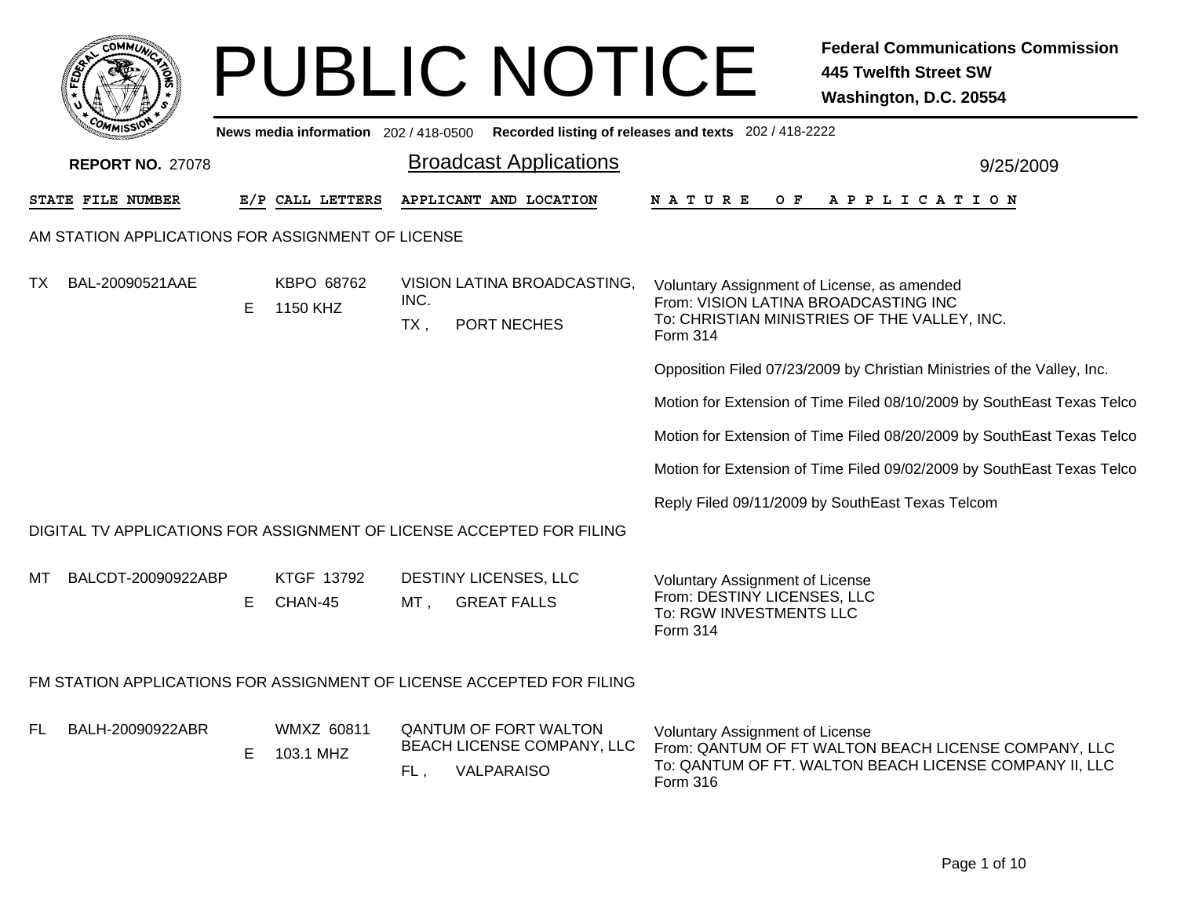|    | <b>OMMUT</b>                                      |    |                                       |             | <b>PUBLIC NOTICE</b>                                                            |                                                                                                                                                               | <b>Federal Communications Commission</b><br><b>445 Twelfth Street SW</b><br>Washington, D.C. 20554 |
|----|---------------------------------------------------|----|---------------------------------------|-------------|---------------------------------------------------------------------------------|---------------------------------------------------------------------------------------------------------------------------------------------------------------|----------------------------------------------------------------------------------------------------|
|    |                                                   |    | News media information 202 / 418-0500 |             |                                                                                 | Recorded listing of releases and texts 202 / 418-2222                                                                                                         |                                                                                                    |
|    | <b>REPORT NO. 27078</b>                           |    |                                       |             | <b>Broadcast Applications</b>                                                   |                                                                                                                                                               | 9/25/2009                                                                                          |
|    | STATE FILE NUMBER                                 |    | E/P CALL LETTERS                      |             | APPLICANT AND LOCATION                                                          | O F<br>N A T U R E                                                                                                                                            | A P P L I C A T I O N                                                                              |
|    | AM STATION APPLICATIONS FOR ASSIGNMENT OF LICENSE |    |                                       |             |                                                                                 |                                                                                                                                                               |                                                                                                    |
| TX | BAL-20090521AAE                                   | E. | KBPO 68762<br>1150 KHZ                | INC.<br>TX, | VISION LATINA BROADCASTING,<br>PORT NECHES                                      | Voluntary Assignment of License, as amended<br>From: VISION LATINA BROADCASTING INC<br>To: CHRISTIAN MINISTRIES OF THE VALLEY, INC.<br><b>Form 314</b>        |                                                                                                    |
|    |                                                   |    |                                       |             |                                                                                 | Opposition Filed 07/23/2009 by Christian Ministries of the Valley, Inc.                                                                                       |                                                                                                    |
|    |                                                   |    |                                       |             |                                                                                 | Motion for Extension of Time Filed 08/10/2009 by SouthEast Texas Telco                                                                                        |                                                                                                    |
|    |                                                   |    |                                       |             |                                                                                 | Motion for Extension of Time Filed 08/20/2009 by SouthEast Texas Telco                                                                                        |                                                                                                    |
|    |                                                   |    |                                       |             |                                                                                 | Motion for Extension of Time Filed 09/02/2009 by SouthEast Texas Telco                                                                                        |                                                                                                    |
|    |                                                   |    |                                       |             |                                                                                 | Reply Filed 09/11/2009 by SouthEast Texas Telcom                                                                                                              |                                                                                                    |
|    |                                                   |    |                                       |             | DIGITAL TV APPLICATIONS FOR ASSIGNMENT OF LICENSE ACCEPTED FOR FILING           |                                                                                                                                                               |                                                                                                    |
| MТ | BALCDT-20090922ABP                                | E. | KTGF 13792<br>CHAN-45                 | $MT$ ,      | DESTINY LICENSES, LLC<br><b>GREAT FALLS</b>                                     | <b>Voluntary Assignment of License</b><br>From: DESTINY LICENSES, LLC<br>To: RGW INVESTMENTS LLC<br>Form 314                                                  |                                                                                                    |
|    |                                                   |    |                                       |             | FM STATION APPLICATIONS FOR ASSIGNMENT OF LICENSE ACCEPTED FOR FILING           |                                                                                                                                                               |                                                                                                    |
| FL | BALH-20090922ABR                                  | E  | <b>WMXZ 60811</b><br>103.1 MHZ        | FL,         | <b>QANTUM OF FORT WALTON</b><br><b>BEACH LICENSE COMPANY, LLC</b><br>VALPARAISO | Voluntary Assignment of License<br>From: QANTUM OF FT WALTON BEACH LICENSE COMPANY, LLC<br>To: QANTUM OF FT. WALTON BEACH LICENSE COMPANY II, LLC<br>Form 316 |                                                                                                    |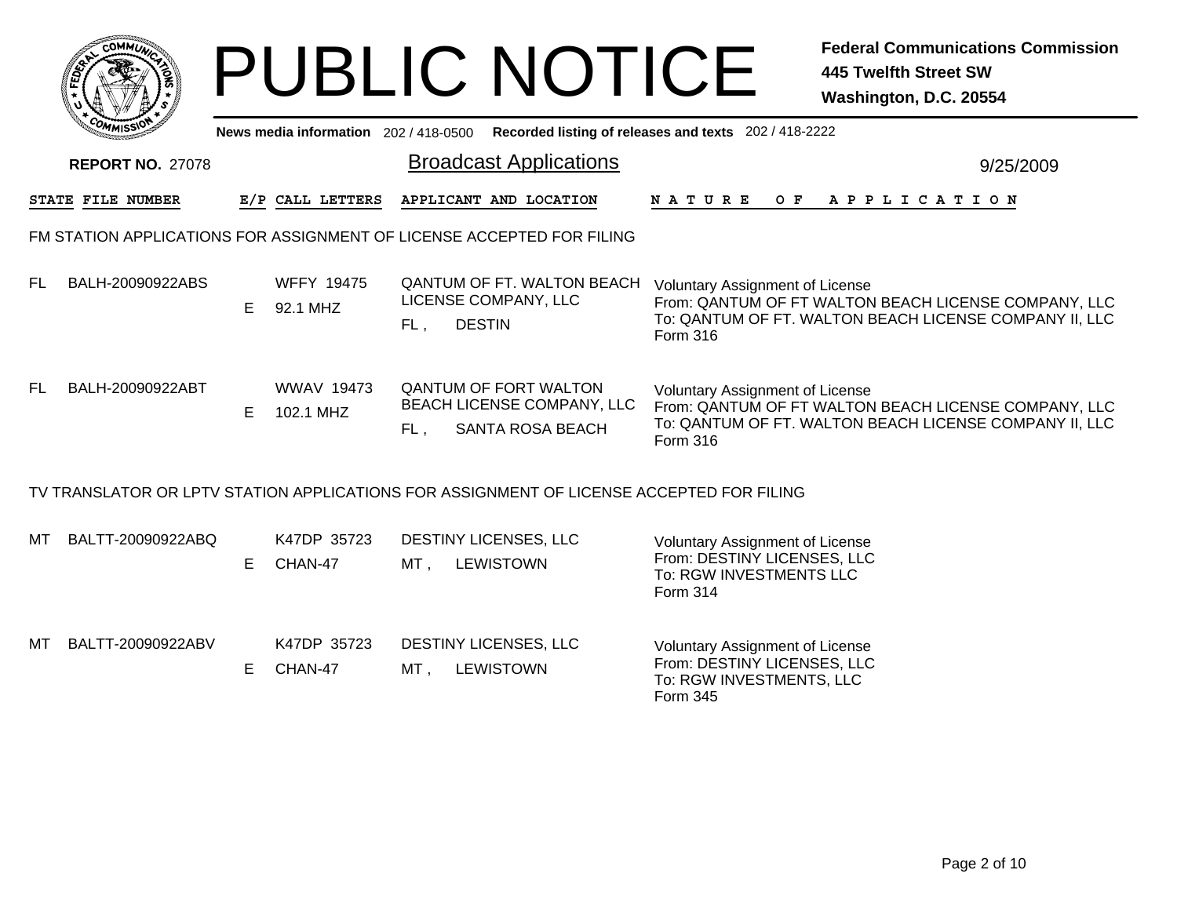|     |                                                                       |    |                                     |     | <b>PUBLIC NOTICE</b>                                                                     |                                                                                                       | <b>Federal Communications Commission</b><br><b>445 Twelfth Street SW</b><br>Washington, D.C. 20554             |  |  |  |  |
|-----|-----------------------------------------------------------------------|----|-------------------------------------|-----|------------------------------------------------------------------------------------------|-------------------------------------------------------------------------------------------------------|----------------------------------------------------------------------------------------------------------------|--|--|--|--|
|     |                                                                       |    | News media information 202/418-0500 |     |                                                                                          | Recorded listing of releases and texts 202 / 418-2222                                                 |                                                                                                                |  |  |  |  |
|     | <b>REPORT NO. 27078</b>                                               |    |                                     |     | <b>Broadcast Applications</b>                                                            |                                                                                                       | 9/25/2009                                                                                                      |  |  |  |  |
|     | STATE FILE NUMBER                                                     |    | E/P CALL LETTERS                    |     | APPLICANT AND LOCATION                                                                   | <b>NATURE</b>                                                                                         | OF APPLICATION                                                                                                 |  |  |  |  |
|     | FM STATION APPLICATIONS FOR ASSIGNMENT OF LICENSE ACCEPTED FOR FILING |    |                                     |     |                                                                                          |                                                                                                       |                                                                                                                |  |  |  |  |
| FL. | BALH-20090922ABS                                                      | E. | <b>WFFY 19475</b><br>92.1 MHZ       | FL, | <b>QANTUM OF FT. WALTON BEACH</b><br>LICENSE COMPANY, LLC<br><b>DESTIN</b>               | <b>Voluntary Assignment of License</b><br>Form 316                                                    | From: QANTUM OF FT WALTON BEACH LICENSE COMPANY, LLC<br>To: QANTUM OF FT. WALTON BEACH LICENSE COMPANY II, LLC |  |  |  |  |
| FL. | BALH-20090922ABT                                                      | E. | <b>WWAV 19473</b><br>102.1 MHZ      | FL, | <b>QANTUM OF FORT WALTON</b><br>BEACH LICENSE COMPANY, LLC<br><b>SANTA ROSA BEACH</b>    | <b>Voluntary Assignment of License</b><br>Form 316                                                    | From: QANTUM OF FT WALTON BEACH LICENSE COMPANY, LLC<br>To: QANTUM OF FT. WALTON BEACH LICENSE COMPANY II, LLC |  |  |  |  |
|     |                                                                       |    |                                     |     | TV TRANSLATOR OR LPTV STATION APPLICATIONS FOR ASSIGNMENT OF LICENSE ACCEPTED FOR FILING |                                                                                                       |                                                                                                                |  |  |  |  |
| мт  | BALTT-20090922ABQ                                                     | E. | K47DP 35723<br>CHAN-47              |     | DESTINY LICENSES, LLC<br>MT, LEWISTOWN                                                   | Voluntary Assignment of License<br>From: DESTINY LICENSES, LLC<br>To: RGW INVESTMENTS LLC<br>Form 314 |                                                                                                                |  |  |  |  |
| MТ  | BALTT-20090922ABV                                                     | E. | K47DP 35723<br>CHAN-47              |     | DESTINY LICENSES, LLC<br>MT, LEWISTOWN                                                   | <b>Voluntary Assignment of License</b><br>From: DESTINY LICENSES, LLC<br>To: RGW INVESTMENTS, LLC     |                                                                                                                |  |  |  |  |

Form 345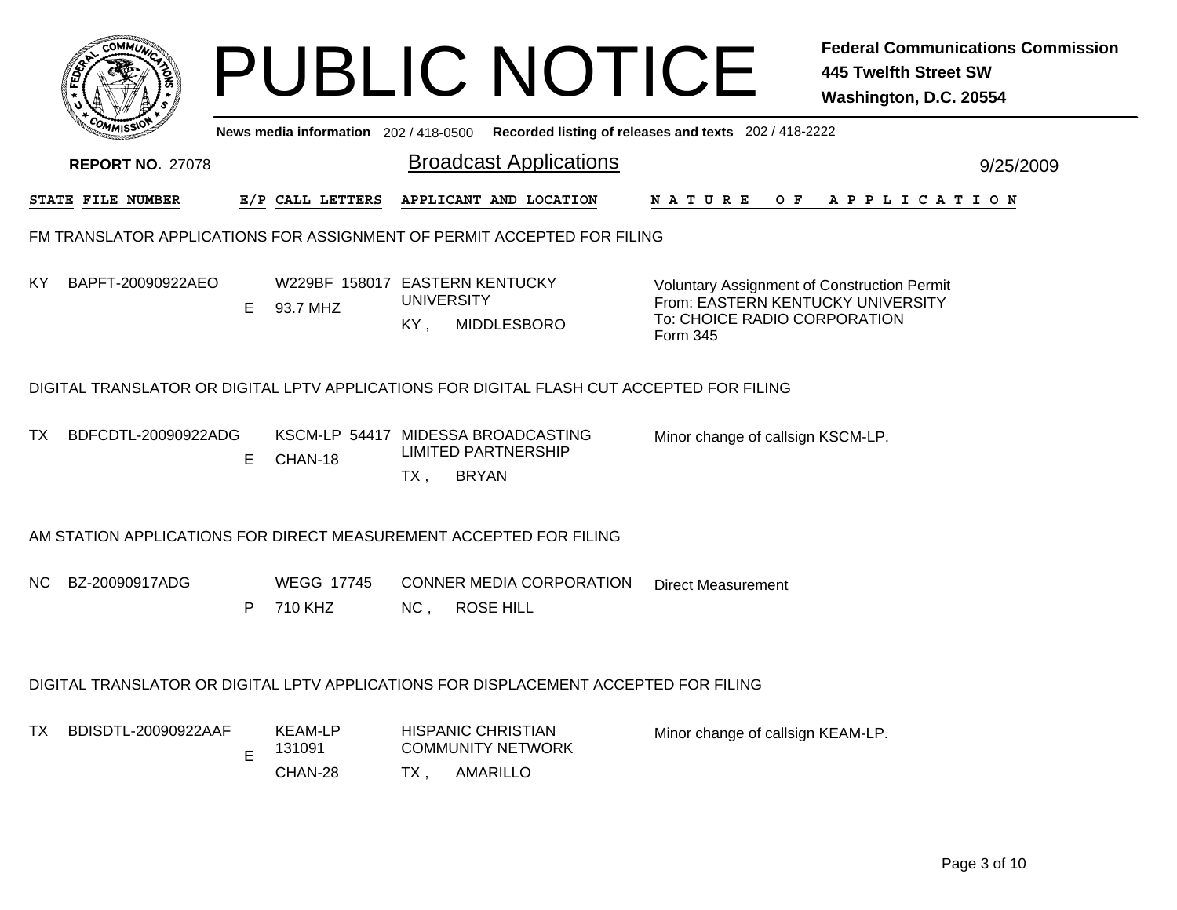|     |                                                                    |    |                                            |                          | <b>PUBLIC NOTICE</b>                                                                      |                                                                                                                                     | <b>Federal Communications Commission</b><br><b>445 Twelfth Street SW</b><br>Washington, D.C. 20554 |
|-----|--------------------------------------------------------------------|----|--------------------------------------------|--------------------------|-------------------------------------------------------------------------------------------|-------------------------------------------------------------------------------------------------------------------------------------|----------------------------------------------------------------------------------------------------|
|     |                                                                    |    | News media information 202/418-0500        |                          |                                                                                           | Recorded listing of releases and texts 202 / 418-2222                                                                               |                                                                                                    |
|     | <b>REPORT NO. 27078</b>                                            |    |                                            |                          | <b>Broadcast Applications</b>                                                             |                                                                                                                                     | 9/25/2009                                                                                          |
|     | STATE FILE NUMBER                                                  |    | E/P CALL LETTERS                           |                          | APPLICANT AND LOCATION                                                                    |                                                                                                                                     | NATURE OF APPLICATION                                                                              |
|     |                                                                    |    |                                            |                          | FM TRANSLATOR APPLICATIONS FOR ASSIGNMENT OF PERMIT ACCEPTED FOR FILING                   |                                                                                                                                     |                                                                                                    |
| KY  | BAPFT-20090922AEO                                                  | E. | W229BF 158017 EASTERN KENTUCKY<br>93.7 MHZ | <b>UNIVERSITY</b><br>KY, | MIDDLESBORO                                                                               | <b>Voluntary Assignment of Construction Permit</b><br>From: EASTERN KENTUCKY UNIVERSITY<br>To: CHOICE RADIO CORPORATION<br>Form 345 |                                                                                                    |
|     |                                                                    |    |                                            |                          | DIGITAL TRANSLATOR OR DIGITAL LPTV APPLICATIONS FOR DIGITAL FLASH CUT ACCEPTED FOR FILING |                                                                                                                                     |                                                                                                    |
| TX. | BDFCDTL-20090922ADG                                                | E. | CHAN-18                                    | TX,                      | KSCM-LP 54417 MIDESSA BROADCASTING<br><b>LIMITED PARTNERSHIP</b><br><b>BRYAN</b>          | Minor change of callsign KSCM-LP.                                                                                                   |                                                                                                    |
|     | AM STATION APPLICATIONS FOR DIRECT MEASUREMENT ACCEPTED FOR FILING |    |                                            |                          |                                                                                           |                                                                                                                                     |                                                                                                    |
| NC. | BZ-20090917ADG                                                     | P  | <b>WEGG 17745</b><br>710 KHZ               | NC,                      | <b>CONNER MEDIA CORPORATION</b><br><b>ROSE HILL</b>                                       | <b>Direct Measurement</b>                                                                                                           |                                                                                                    |
|     |                                                                    |    |                                            |                          | DIGITAL TRANSLATOR OR DIGITAL LPTV APPLICATIONS FOR DISPLACEMENT ACCEPTED FOR FILING      |                                                                                                                                     |                                                                                                    |
| TX. | BDISDTL-20090922AAF                                                | E  | <b>KEAM-LP</b><br>131091<br>CHAN-28        | $TX$ ,                   | <b>HISPANIC CHRISTIAN</b><br><b>COMMUNITY NETWORK</b><br>AMARILLO                         | Minor change of callsign KEAM-LP.                                                                                                   |                                                                                                    |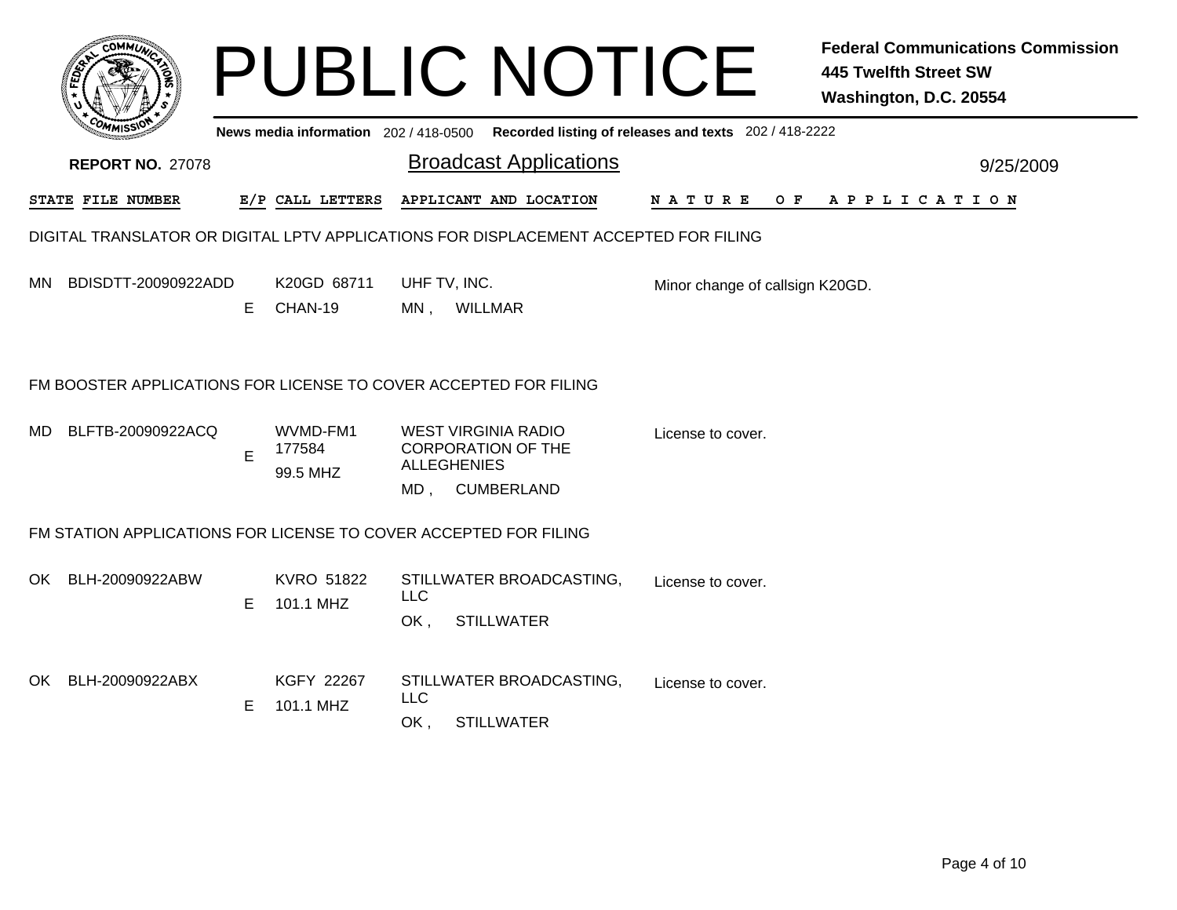|     |                                                                  |    |                                     |                   | <b>PUBLIC NOTICE</b>                                                                     |                                                       | <b>Federal Communications Commission</b><br><b>445 Twelfth Street SW</b><br>Washington, D.C. 20554 |
|-----|------------------------------------------------------------------|----|-------------------------------------|-------------------|------------------------------------------------------------------------------------------|-------------------------------------------------------|----------------------------------------------------------------------------------------------------|
|     |                                                                  |    | News media information 202/418-0500 |                   |                                                                                          | Recorded listing of releases and texts 202 / 418-2222 |                                                                                                    |
|     | <b>REPORT NO. 27078</b>                                          |    |                                     |                   | <b>Broadcast Applications</b>                                                            |                                                       | 9/25/2009                                                                                          |
|     | STATE FILE NUMBER                                                |    | E/P CALL LETTERS                    |                   | APPLICANT AND LOCATION                                                                   | N A T U R E<br>O F                                    | A P P L I C A T I O N                                                                              |
|     |                                                                  |    |                                     |                   | DIGITAL TRANSLATOR OR DIGITAL LPTV APPLICATIONS FOR DISPLACEMENT ACCEPTED FOR FILING     |                                                       |                                                                                                    |
| MN. | BDISDTT-20090922ADD                                              | E. | K20GD 68711<br>CHAN-19              |                   | UHF TV, INC.<br>MN, WILLMAR                                                              | Minor change of callsign K20GD.                       |                                                                                                    |
|     | FM BOOSTER APPLICATIONS FOR LICENSE TO COVER ACCEPTED FOR FILING |    |                                     |                   |                                                                                          |                                                       |                                                                                                    |
| MD. | BLFTB-20090922ACQ                                                | E  | WVMD-FM1<br>177584<br>99.5 MHZ      |                   | WEST VIRGINIA RADIO<br><b>CORPORATION OF THE</b><br><b>ALLEGHENIES</b><br>MD, CUMBERLAND | License to cover.                                     |                                                                                                    |
|     | FM STATION APPLICATIONS FOR LICENSE TO COVER ACCEPTED FOR FILING |    |                                     |                   |                                                                                          |                                                       |                                                                                                    |
| OK. | BLH-20090922ABW                                                  | E. | <b>KVRO 51822</b><br>101.1 MHZ      | <b>LLC</b><br>OK. | STILLWATER BROADCASTING,<br><b>STILLWATER</b>                                            | License to cover.                                     |                                                                                                    |
| OK  | BLH-20090922ABX                                                  | E  | KGFY 22267<br>101.1 MHZ             | <b>LLC</b><br>OK. | STILLWATER BROADCASTING,<br><b>STILLWATER</b>                                            | License to cover.                                     |                                                                                                    |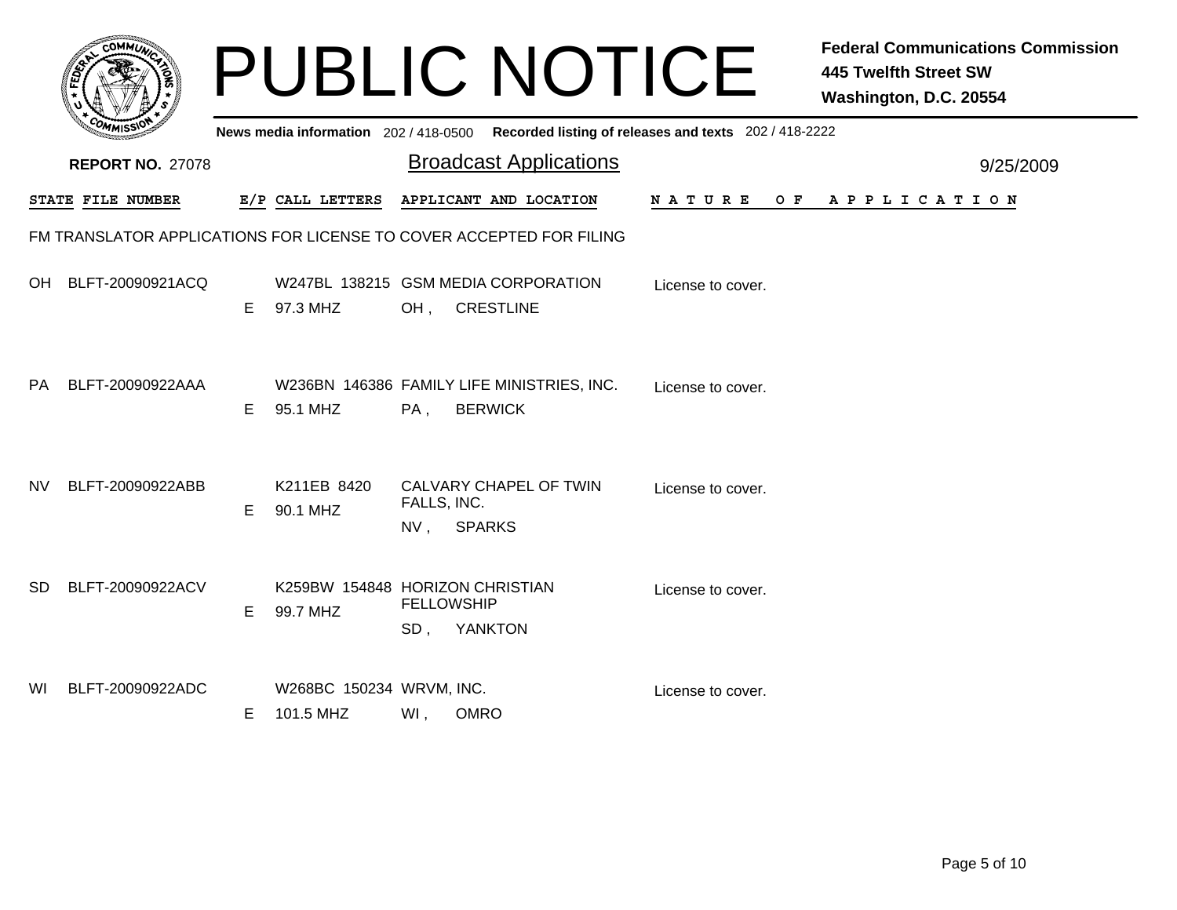|           |                          |    |                                             |                       | <b>PUBLIC NOTICE</b>                                                                        |                   | <b>Federal Communications Commission</b><br><b>445 Twelfth Street SW</b><br>Washington, D.C. 20554 |  |
|-----------|--------------------------|----|---------------------------------------------|-----------------------|---------------------------------------------------------------------------------------------|-------------------|----------------------------------------------------------------------------------------------------|--|
|           |                          |    |                                             |                       | News media information 202 / 418-0500 Recorded listing of releases and texts 202 / 418-2222 |                   |                                                                                                    |  |
|           | <b>REPORT NO. 27078</b>  |    |                                             |                       | <b>Broadcast Applications</b>                                                               |                   | 9/25/2009                                                                                          |  |
|           | <b>STATE FILE NUMBER</b> |    | E/P CALL LETTERS                            |                       | APPLICANT AND LOCATION                                                                      | N A T U R E       | OF APPLICATION                                                                                     |  |
|           |                          |    |                                             |                       | FM TRANSLATOR APPLICATIONS FOR LICENSE TO COVER ACCEPTED FOR FILING                         |                   |                                                                                                    |  |
|           | OH BLFT-20090921ACQ      | E. | 97.3 MHZ                                    | OH,                   | W247BL 138215 GSM MEDIA CORPORATION<br><b>CRESTLINE</b>                                     | License to cover. |                                                                                                    |  |
| <b>PA</b> | BLFT-20090922AAA         | E. | 95.1 MHZ                                    | PA,                   | W236BN 146386 FAMILY LIFE MINISTRIES, INC.<br><b>BERWICK</b>                                | License to cover. |                                                                                                    |  |
| <b>NV</b> | BLFT-20090922ABB         | E. | K211EB 8420<br>90.1 MHZ                     | FALLS, INC.<br>$NV$ , | CALVARY CHAPEL OF TWIN<br><b>SPARKS</b>                                                     | License to cover. |                                                                                                    |  |
| SD        | BLFT-20090922ACV         | E. | K259BW 154848 HORIZON CHRISTIAN<br>99.7 MHZ | <b>FELLOWSHIP</b>     | SD, YANKTON                                                                                 | License to cover. |                                                                                                    |  |
| WI        | BLFT-20090922ADC         | E. | W268BC 150234 WRVM, INC.<br>101.5 MHZ       | WI,                   | <b>OMRO</b>                                                                                 | License to cover. |                                                                                                    |  |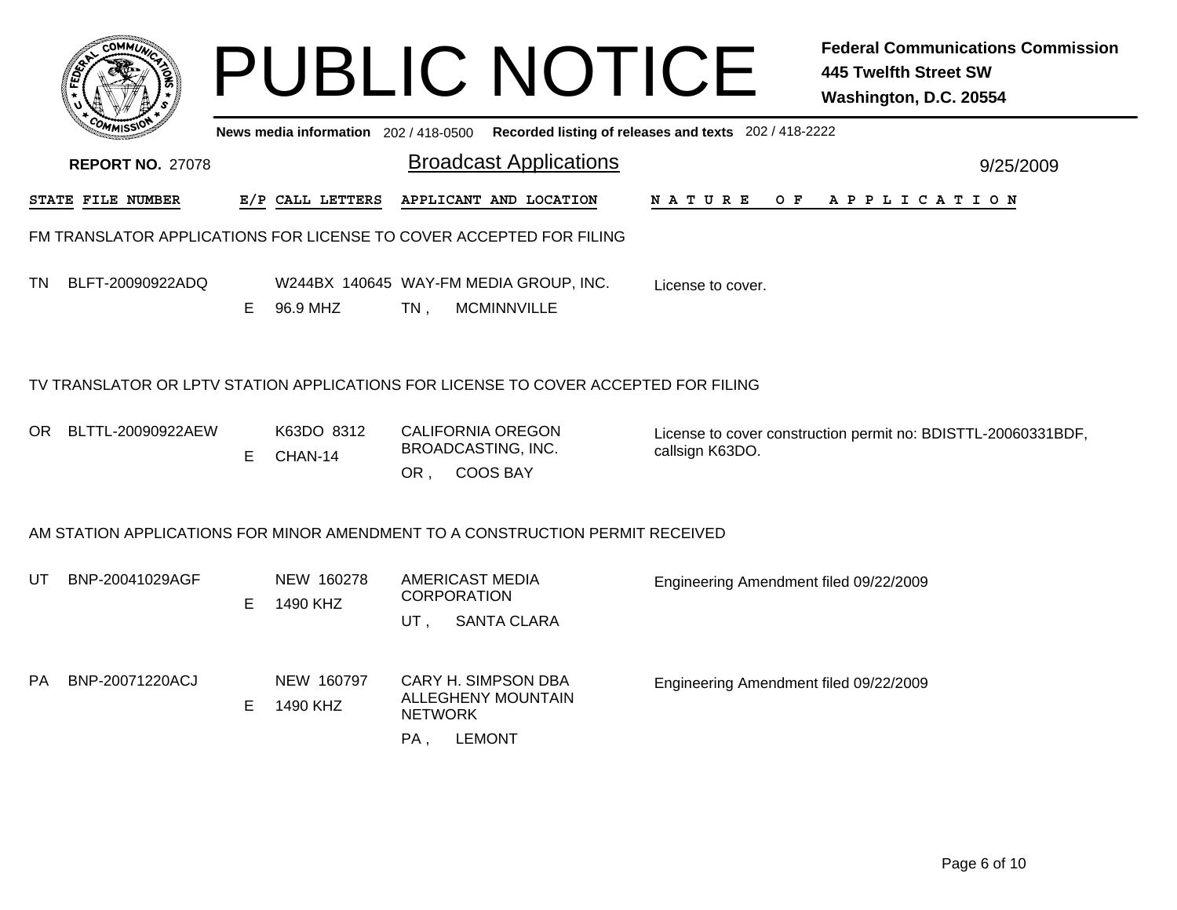|    |                                                                                     |    |                                     |                           | <b>PUBLIC NOTICE</b>                                         |                                                       | <b>Federal Communications Commission</b><br><b>445 Twelfth Street SW</b><br>Washington, D.C. 20554 |
|----|-------------------------------------------------------------------------------------|----|-------------------------------------|---------------------------|--------------------------------------------------------------|-------------------------------------------------------|----------------------------------------------------------------------------------------------------|
|    |                                                                                     |    | News media information 202/418-0500 |                           |                                                              | Recorded listing of releases and texts 202 / 418-2222 |                                                                                                    |
|    | <b>REPORT NO. 27078</b>                                                             |    |                                     |                           | <b>Broadcast Applications</b>                                |                                                       | 9/25/2009                                                                                          |
|    | STATE FILE NUMBER                                                                   |    | E/P CALL LETTERS                    |                           | APPLICANT AND LOCATION                                       | N A T U R E                                           | OF APPLICATION                                                                                     |
|    | FM TRANSLATOR APPLICATIONS FOR LICENSE TO COVER ACCEPTED FOR FILING                 |    |                                     |                           |                                                              |                                                       |                                                                                                    |
| TN | BLFT-20090922ADQ                                                                    | E. | 96.9 MHZ                            | $TN$ ,                    | W244BX 140645 WAY-FM MEDIA GROUP, INC.<br><b>MCMINNVILLE</b> | License to cover.                                     |                                                                                                    |
|    | TV TRANSLATOR OR LPTV STATION APPLICATIONS FOR LICENSE TO COVER ACCEPTED FOR FILING |    |                                     |                           |                                                              |                                                       |                                                                                                    |
|    | OR BLTTL-20090922AEW                                                                | E  | K63DO 8312<br>CHAN-14               | OR,                       | CALIFORNIA OREGON<br><b>BROADCASTING, INC.</b><br>COOS BAY   | callsign K63DO.                                       | License to cover construction permit no: BDISTTL-20060331BDF,                                      |
|    | AM STATION APPLICATIONS FOR MINOR AMENDMENT TO A CONSTRUCTION PERMIT RECEIVED       |    |                                     |                           |                                                              |                                                       |                                                                                                    |
| UT | BNP-20041029AGF                                                                     | E. | NEW 160278<br>1490 KHZ              | <b>CORPORATION</b><br>UT, | <b>AMERICAST MEDIA</b><br><b>SANTA CLARA</b>                 | Engineering Amendment filed 09/22/2009                |                                                                                                    |
| PA | BNP-20071220ACJ                                                                     | E. | NEW 160797<br>1490 KHZ              | <b>NETWORK</b><br>PA,     | CARY H. SIMPSON DBA<br>ALLEGHENY MOUNTAIN<br><b>LEMONT</b>   | Engineering Amendment filed 09/22/2009                |                                                                                                    |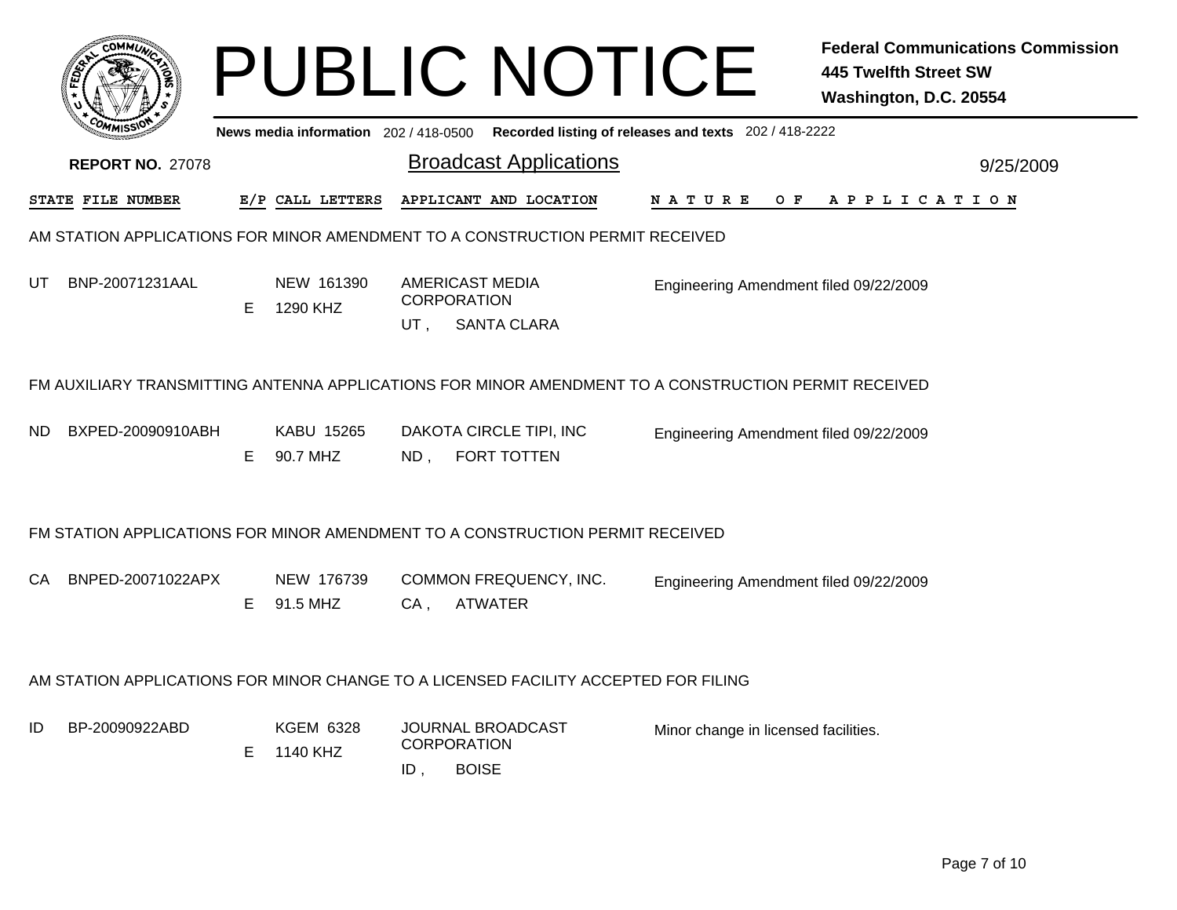|     | <b>COMMI</b>            |    |                                     |        | <b>PUBLIC NOTICE</b>                                                                                 |                                                       | <b>Federal Communications Commission</b><br><b>445 Twelfth Street SW</b><br>Washington, D.C. 20554 |
|-----|-------------------------|----|-------------------------------------|--------|------------------------------------------------------------------------------------------------------|-------------------------------------------------------|----------------------------------------------------------------------------------------------------|
|     |                         |    | News media information 202/418-0500 |        |                                                                                                      | Recorded listing of releases and texts 202 / 418-2222 |                                                                                                    |
|     | <b>REPORT NO. 27078</b> |    |                                     |        | <b>Broadcast Applications</b>                                                                        |                                                       | 9/25/2009                                                                                          |
|     | STATE FILE NUMBER       |    | E/P CALL LETTERS                    |        | APPLICANT AND LOCATION                                                                               | O F<br>N A T U R E                                    | APPLICATION                                                                                        |
|     |                         |    |                                     |        | AM STATION APPLICATIONS FOR MINOR AMENDMENT TO A CONSTRUCTION PERMIT RECEIVED                        |                                                       |                                                                                                    |
| UT  | BNP-20071231AAL         | E  | NEW 161390<br>1290 KHZ              | $UT$ . | <b>AMERICAST MEDIA</b><br><b>CORPORATION</b><br><b>SANTA CLARA</b>                                   | Engineering Amendment filed 09/22/2009                |                                                                                                    |
|     |                         |    |                                     |        | FM AUXILIARY TRANSMITTING ANTENNA APPLICATIONS FOR MINOR AMENDMENT TO A CONSTRUCTION PERMIT RECEIVED |                                                       |                                                                                                    |
| ND. | BXPED-20090910ABH       | E. | KABU 15265<br>90.7 MHZ              | ND,    | DAKOTA CIRCLE TIPI, INC<br><b>FORT TOTTEN</b>                                                        | Engineering Amendment filed 09/22/2009                |                                                                                                    |
|     |                         |    |                                     |        | FM STATION APPLICATIONS FOR MINOR AMENDMENT TO A CONSTRUCTION PERMIT RECEIVED                        |                                                       |                                                                                                    |
| CA. | BNPED-20071022APX       | Е  | NEW 176739<br>91.5 MHZ              | $CA$ , | COMMON FREQUENCY, INC.<br><b>ATWATER</b>                                                             | Engineering Amendment filed 09/22/2009                |                                                                                                    |
|     |                         |    |                                     |        | AM STATION APPLICATIONS FOR MINOR CHANGE TO A LICENSED FACILITY ACCEPTED FOR FILING                  |                                                       |                                                                                                    |
| ID  | BP-20090922ABD          | E  | <b>KGEM 6328</b><br>1140 KHZ        | ID,    | JOURNAL BROADCAST<br><b>CORPORATION</b><br><b>BOISE</b>                                              | Minor change in licensed facilities.                  |                                                                                                    |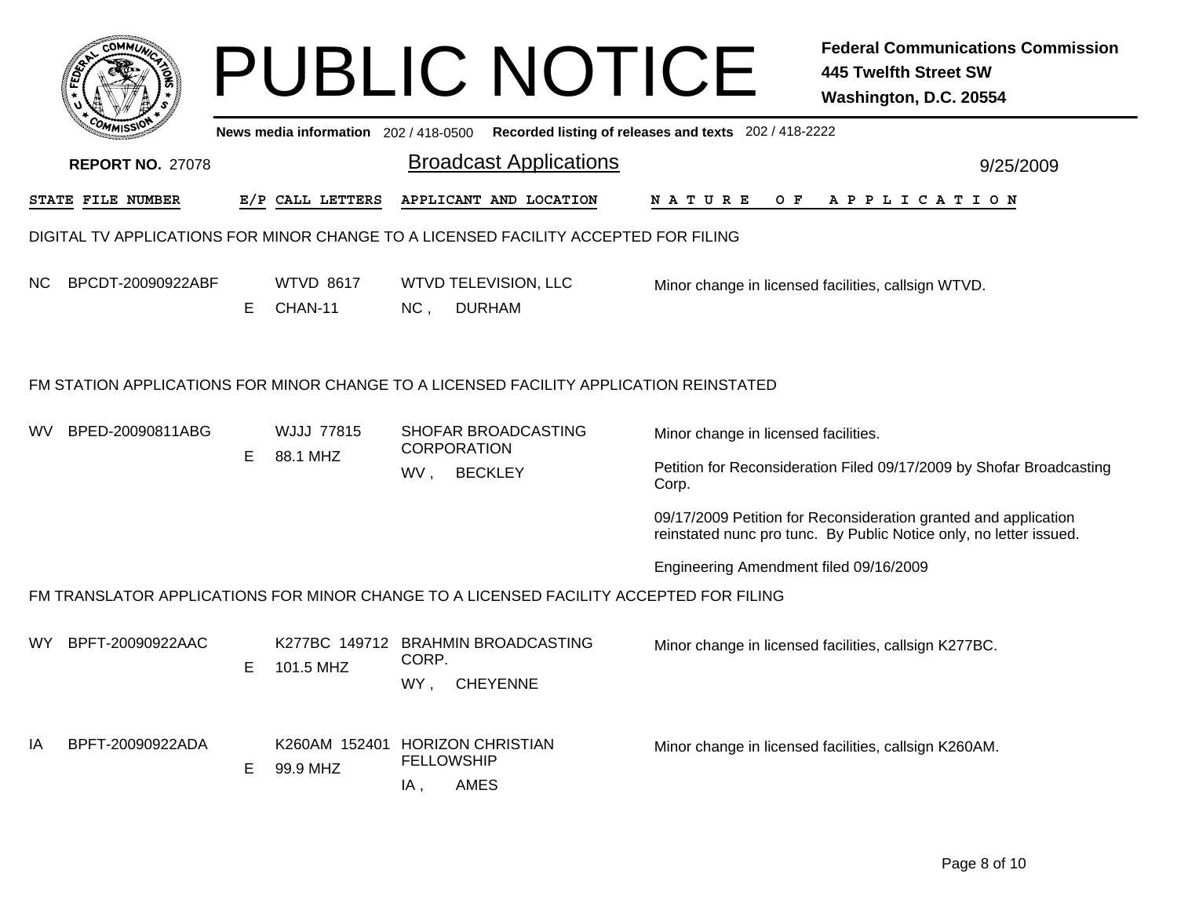|     | COMMUL                                                                                 |    |                                             |                                                                    | <b>PUBLIC NOTICE</b>                                  |                                      |                                                                      | <b>Federal Communications Commission</b><br><b>445 Twelfth Street SW</b><br>Washington, D.C. 20554                                    |  |  |  |
|-----|----------------------------------------------------------------------------------------|----|---------------------------------------------|--------------------------------------------------------------------|-------------------------------------------------------|--------------------------------------|----------------------------------------------------------------------|---------------------------------------------------------------------------------------------------------------------------------------|--|--|--|
|     |                                                                                        |    | News media information 202/418-0500         |                                                                    |                                                       |                                      |                                                                      | Recorded listing of releases and texts 202 / 418-2222                                                                                 |  |  |  |
|     | <b>REPORT NO. 27078</b>                                                                |    |                                             |                                                                    | <b>Broadcast Applications</b>                         |                                      | 9/25/2009                                                            |                                                                                                                                       |  |  |  |
|     | STATE FILE NUMBER                                                                      |    | E/P CALL LETTERS                            |                                                                    | APPLICANT AND LOCATION                                |                                      | NATURE<br>O F                                                        | A P P L I C A T I O N                                                                                                                 |  |  |  |
|     | DIGITAL TV APPLICATIONS FOR MINOR CHANGE TO A LICENSED FACILITY ACCEPTED FOR FILING    |    |                                             |                                                                    |                                                       |                                      |                                                                      |                                                                                                                                       |  |  |  |
| NC. | BPCDT-20090922ABF                                                                      | E. | <b>WTVD 8617</b><br>CHAN-11                 | NC,                                                                | <b>WTVD TELEVISION, LLC</b><br><b>DURHAM</b>          |                                      |                                                                      | Minor change in licensed facilities, callsign WTVD.                                                                                   |  |  |  |
|     | FM STATION APPLICATIONS FOR MINOR CHANGE TO A LICENSED FACILITY APPLICATION REINSTATED |    |                                             |                                                                    |                                                       |                                      |                                                                      |                                                                                                                                       |  |  |  |
| wv  | BPED-20090811ABG                                                                       |    | <b>WJJJ 77815</b>                           | SHOFAR BROADCASTING<br><b>CORPORATION</b><br><b>BECKLEY</b><br>WV, |                                                       | Minor change in licensed facilities. |                                                                      |                                                                                                                                       |  |  |  |
|     |                                                                                        | E. | 88.1 MHZ                                    |                                                                    |                                                       | Corp.                                | Petition for Reconsideration Filed 09/17/2009 by Shofar Broadcasting |                                                                                                                                       |  |  |  |
|     |                                                                                        |    |                                             |                                                                    |                                                       |                                      |                                                                      | 09/17/2009 Petition for Reconsideration granted and application<br>reinstated nunc pro tunc. By Public Notice only, no letter issued. |  |  |  |
|     |                                                                                        |    |                                             |                                                                    |                                                       |                                      | Engineering Amendment filed 09/16/2009                               |                                                                                                                                       |  |  |  |
|     | FM TRANSLATOR APPLICATIONS FOR MINOR CHANGE TO A LICENSED FACILITY ACCEPTED FOR FILING |    |                                             |                                                                    |                                                       |                                      |                                                                      |                                                                                                                                       |  |  |  |
| WY. | BPFT-20090922AAC                                                                       | E. | 101.5 MHZ                                   | CORP.<br>WY,                                                       | K277BC 149712 BRAHMIN BROADCASTING<br><b>CHEYENNE</b> |                                      |                                                                      | Minor change in licensed facilities, callsign K277BC.                                                                                 |  |  |  |
| IA  | BPFT-20090922ADA                                                                       | E. | K260AM 152401 HORIZON CHRISTIAN<br>99.9 MHZ | <b>FELLOWSHIP</b><br>IA,                                           | AMES                                                  |                                      |                                                                      | Minor change in licensed facilities, callsign K260AM.                                                                                 |  |  |  |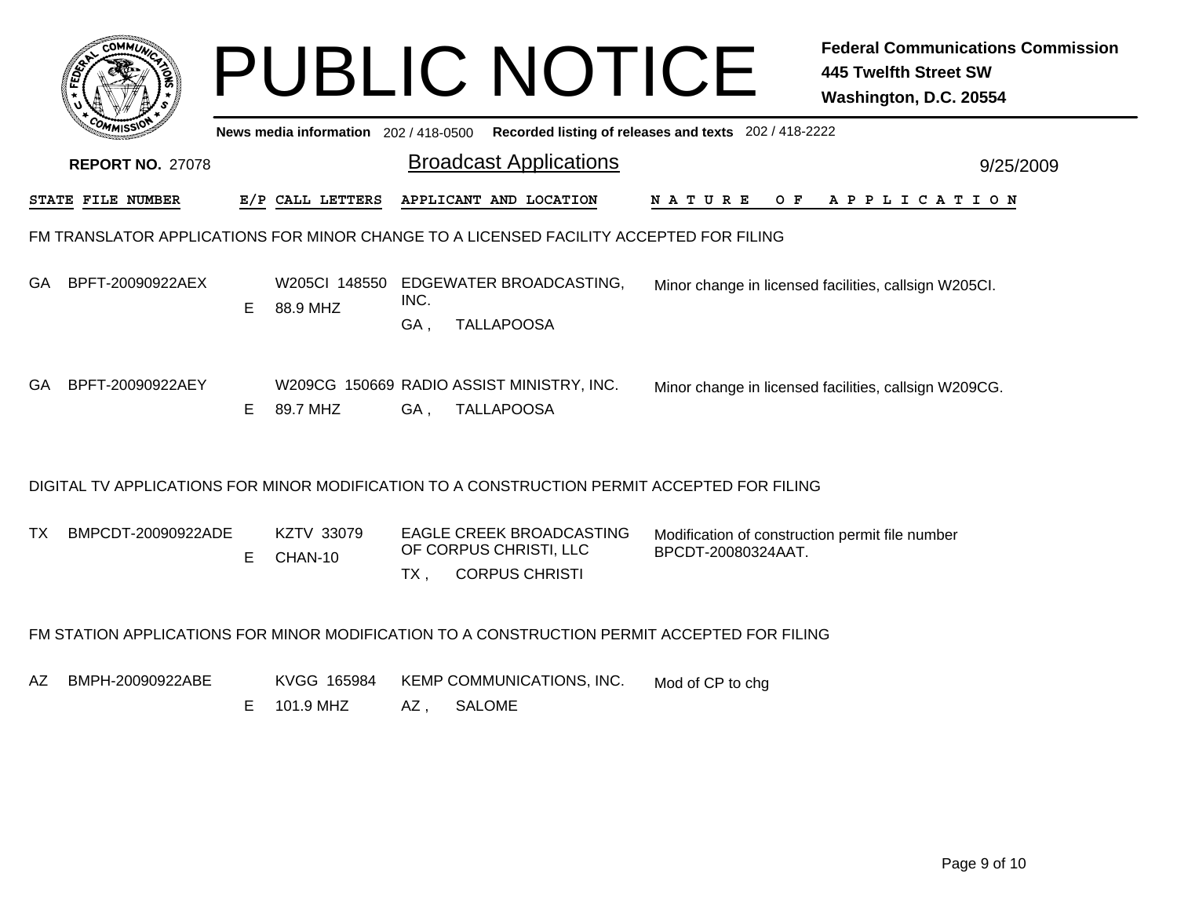|     |                         |   |                           |             |               | <b>PUBLIC NOTICE</b>                                                                        |                    |     | <b>Federal Communications Commission</b><br><b>445 Twelfth Street SW</b><br>Washington, D.C. 20554 |
|-----|-------------------------|---|---------------------------|-------------|---------------|---------------------------------------------------------------------------------------------|--------------------|-----|----------------------------------------------------------------------------------------------------|
|     |                         |   |                           |             |               | News media information 202 / 418-0500 Recorded listing of releases and texts 202 / 418-2222 |                    |     |                                                                                                    |
|     | <b>REPORT NO. 27078</b> |   |                           |             |               | <b>Broadcast Applications</b>                                                               |                    |     | 9/25/2009                                                                                          |
|     | STATE FILE NUMBER       |   | E/P CALL LETTERS          |             |               | APPLICANT AND LOCATION                                                                      | N A T U R E        | O F | A P P L I C A T I O N                                                                              |
|     |                         |   |                           |             |               | FM TRANSLATOR APPLICATIONS FOR MINOR CHANGE TO A LICENSED FACILITY ACCEPTED FOR FILING      |                    |     |                                                                                                    |
| GA. | BPFT-20090922AEX        | E | W205CI 148550<br>88.9 MHZ | INC.<br>GA, |               | EDGEWATER BROADCASTING,<br><b>TALLAPOOSA</b>                                                |                    |     | Minor change in licensed facilities, callsign W205Cl.                                              |
| GA  | BPFT-20090922AEY        | E | 89.7 MHZ                  | GA,         |               | W209CG 150669 RADIO ASSIST MINISTRY, INC.<br><b>TALLAPOOSA</b>                              |                    |     | Minor change in licensed facilities, callsign W209CG.                                              |
|     |                         |   |                           |             |               | DIGITAL TV APPLICATIONS FOR MINOR MODIFICATION TO A CONSTRUCTION PERMIT ACCEPTED FOR FILING |                    |     |                                                                                                    |
| TX. | BMPCDT-20090922ADE      | E | KZTV 33079<br>CHAN-10     | $TX$ ,      |               | <b>EAGLE CREEK BROADCASTING</b><br>OF CORPUS CHRISTI, LLC<br><b>CORPUS CHRISTI</b>          | BPCDT-20080324AAT. |     | Modification of construction permit file number                                                    |
|     |                         |   |                           |             |               | FM STATION APPLICATIONS FOR MINOR MODIFICATION TO A CONSTRUCTION PERMIT ACCEPTED FOR FILING |                    |     |                                                                                                    |
| AZ. | BMPH-20090922ABE        | Е | KVGG 165984<br>101.9 MHZ  | AZ,         | <b>SALOME</b> | KEMP COMMUNICATIONS, INC.                                                                   | Mod of CP to chg   |     |                                                                                                    |